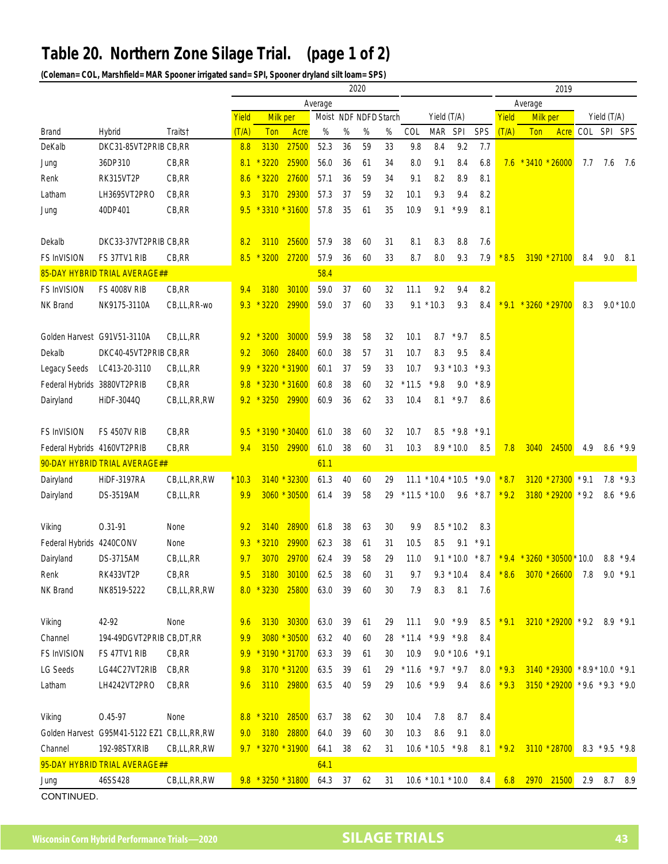## **Table 20. Northern Zone Silage Trial. (page 1 of 2)**

**(Coleman= COL, Marshfield= MAR Spooner irrigated sand= SPI, Spooner dryland silt loam= SPS)**

|                               |                                            |             | 2020  |                    |              |      |                       |    |             |                |                      |              |                          |        |                                     | 2019                              |             |                   |              |
|-------------------------------|--------------------------------------------|-------------|-------|--------------------|--------------|------|-----------------------|----|-------------|----------------|----------------------|--------------|--------------------------|--------|-------------------------------------|-----------------------------------|-------------|-------------------|--------------|
|                               |                                            |             |       | Average            |              |      |                       |    |             | Average        |                      |              |                          |        |                                     |                                   |             |                   |              |
|                               |                                            |             | Yield | Milk per           |              |      | Moist NDF NDFD Starch |    | Yield (T/A) |                |                      |              | Yield<br><b>Milk per</b> |        |                                     | Yield (T/A)                       |             |                   |              |
| Brand                         | Hybrid                                     | Traits†     | (T/A) | Ton                | Acre         | %    | %                     | %  | %           | COL            | MAR                  | SPI          | SPS                      | (T/A)  | Ton                                 | Acre                              | COL SPI SPS |                   |              |
| DeKalb                        | DKC31-85VT2PRIB CB,RR                      |             | 8.8   | 3130               | 27500        | 52.3 | 36                    | 59 | 33          | 9.8            | 8.4                  | 9.2          | 7.7                      |        |                                     |                                   |             |                   |              |
| Jung                          | 36DP310                                    | CB, RR      | 8.1   | $*3220$            | 25900        | 56.0 | 36                    | 61 | 34          | 8.0            | 9.1                  | 8.4          | 6.8                      |        | $7.6 * 3410 * 26000$                |                                   | 7.7         | 7.6               | 7.6          |
| Renk                          | RK315VT2P                                  | CB, RR      | 8.6   | $*3220$            | 27600        | 57.1 | 36                    | 59 | 34          | 9.1            | 8.2                  | 8.9          | 8.1                      |        |                                     |                                   |             |                   |              |
| Latham                        | LH3695VT2PRO                               | CB, RR      | 9.3   | 3170               | 29300        | 57.3 | 37                    | 59 | 32          | 10.1           | 9.3                  | 9.4          | 8.2                      |        |                                     |                                   |             |                   |              |
| Jung                          | 40DP401                                    | CB, RR      | 9.5   | $*3310 * 31600$    |              | 57.8 | 35                    | 61 | 35          | 10.9           | 9.1                  | $*9.9$       | 8.1                      |        |                                     |                                   |             |                   |              |
|                               |                                            |             |       |                    |              |      |                       |    |             |                |                      |              |                          |        |                                     |                                   |             |                   |              |
| Dekalb                        | DKC33-37VT2PRIB CB,RR                      |             | 8.2   | 3110               | 25600        | 57.9 | 38                    | 60 | 31          | 8.1            | 8.3                  | 8.8          | 7.6                      |        |                                     |                                   |             |                   |              |
| <b>FS InVISION</b>            | FS 37TV1 RIB                               | CB, RR      | 8.5   | $*3200$            | 27200        | 57.9 | 36                    | 60 | 33          | 8.7            | 8.0                  | 9.3          | 7.9                      | $*8.5$ |                                     | 3190 * 27100                      | 8.4         | 9.0               | -8.1         |
| 85-DAY HYBRID TRIAL AVERAGE## |                                            |             |       | 58.4               |              |      |                       |    |             |                |                      |              |                          |        |                                     |                                   |             |                   |              |
| FS InVISION                   | <b>FS 4008V RIB</b>                        | CB, RR      | 9.4   | 3180               | 30100        | 59.0 | 37                    | 60 | 32          | 11.1           | 9.2                  | 9.4          | 8.2                      |        |                                     |                                   |             |                   |              |
| NK Brand                      | NK9175-3110A                               | CB,LL,RR-wo | 9.3   | $*3220$            | 29900        | 59.0 | 37                    | 60 | 33          |                | $9.1 * 10.3$         | 9.3          | 8.4                      | $*9.1$ | $*3260 * 29700$                     |                                   | 8.3         |                   | $9.0 * 10.0$ |
|                               |                                            |             |       |                    |              |      |                       |    |             |                |                      |              |                          |        |                                     |                                   |             |                   |              |
|                               | Golden Harvest G91V51-3110A                | CB,LL,RR    |       | $9.2 * 3200$       | 30000        | 59.9 | 38                    | 58 | 32          | 10.1           |                      | $*9.7$       | 8.5                      |        |                                     |                                   |             |                   |              |
|                               |                                            |             |       |                    |              |      |                       |    |             |                | 8.7                  |              |                          |        |                                     |                                   |             |                   |              |
| Dekalb                        | DKC40-45VT2PRIB CB,RR                      |             | 9.2   | 3060               | 28400        | 60.0 | 38                    | 57 | 31          | 10.7           | 8.3                  | 9.5          | 8.4                      |        |                                     |                                   |             |                   |              |
| Legacy Seeds                  | LC413-20-3110                              | CB,LL,RR    | 9.9   | $*3220 * 31900$    |              | 60.1 | 37                    | 59 | 33          | 10.7           |                      | $9.3 * 10.3$ | $*9.3$                   |        |                                     |                                   |             |                   |              |
| Federal Hybrids 3880VT2PRIB   |                                            | CB,RR       | 9.8   | $*3230$            | $*31600$     | 60.8 | 38                    | 60 | 32          | $*11.5$        | $*9.8$               | 9.0          | $*8.9$                   |        |                                     |                                   |             |                   |              |
| Dairyland                     | HiDF-3044Q                                 | CB,LL,RR,RW |       | $9.2 * 3250$       | 29900        | 60.9 | 36                    | 62 | 33          | 10.4           |                      | $8.1 * 9.7$  | 8.6                      |        |                                     |                                   |             |                   |              |
|                               |                                            |             |       |                    |              |      |                       |    |             |                |                      |              |                          |        |                                     |                                   |             |                   |              |
| <b>FS InVISION</b>            | <b>FS 4507V RIB</b>                        | CB, RR      | 9.5   | * 3190 * 30400     |              | 61.0 | 38                    | 60 | 32          | 10.7           | 8.5                  | $*9.8$       | $*9.1$                   |        |                                     |                                   |             |                   |              |
| Federal Hybrids 4160VT2PRIB   |                                            | CB, RR      | 9.4   | 3150               | 29900        | 61.0 | 38                    | 60 | 31          | 10.3           |                      | $8.9 * 10.0$ | 8.5                      | 7.8    | 3040                                | 24500                             | 4.9         |                   | $8.6 * 9.9$  |
| 90-DAY HYBRID TRIAL AVERAGE## |                                            |             |       |                    |              | 61.1 |                       |    |             |                |                      |              |                          |        |                                     |                                   |             |                   |              |
| Dairyland                     | HiDF-3197RA                                | CB,LL,RR,RW | 10.3  |                    | 3140 * 32300 | 61.3 | 40                    | 60 | 29          |                | $11.1 * 10.4 * 10.5$ |              | $*9.0$                   | $*8.7$ |                                     | 3120 * 27300                      | $*9.1$      |                   | $7.8 * 9.3$  |
| Dairyland                     | DS-3519AM                                  | CB,LL,RR    | 9.9   |                    | 3060 * 30500 | 61.4 | 39                    | 58 | 29          | $*11.5 * 10.0$ |                      | 9.6          | $*8.7$                   | $*9.2$ |                                     | $3180 * 29200 * 9.2$              |             | 8.6               | $*9.6$       |
|                               |                                            |             |       |                    |              |      |                       |    |             |                |                      |              |                          |        |                                     |                                   |             |                   |              |
| Viking                        | 0.31-91                                    | None        | 9.2   | 3140               | 28900        | 61.8 | 38                    | 63 | 30          | 9.9            |                      | $8.5 * 10.2$ | 8.3                      |        |                                     |                                   |             |                   |              |
| Federal Hybrids 4240CONV      |                                            | None        | 9.3   | 3210               | 29900        | 62.3 | 38                    | 61 | 31          | 10.5           | 8.5                  | 9.1          | $*9.1$                   |        |                                     |                                   |             |                   |              |
| Dairyland                     | <b>DS-3715AM</b>                           | CB,LL,RR    | 9.7   | 3070               | 29700        | 62.4 | 39                    | 58 | 29          | 11.0           |                      |              | $9.1 * 10.0 * 8.7$       |        | $*$ 9.4 $*$ 3260 $*$ 30500 $*$ 10.0 |                                   |             |                   | $8.8*9.4$    |
| Renk                          | RK433VT2P                                  | CB,RR       | 9.5   |                    | 3180 30100   | 62.5 | 38                    | 60 | 31          | 9.7            |                      | $9.3 * 10.4$ | 8.4                      |        | $*8.6$ 3070 $*26600$ 7.8 9.0 $*9.1$ |                                   |             |                   |              |
| NK Brand                      | NK8519-5222                                | CB,LL,RR,RW |       | 8.0 * 3230 25800   |              | 63.0 | 39                    | 60 | 30          | 7.9            | 8.3                  | 8.1          | 7.6                      |        |                                     |                                   |             |                   |              |
|                               |                                            |             |       |                    |              |      |                       |    |             |                |                      |              |                          |        |                                     |                                   |             |                   |              |
| Viking                        | 42-92                                      | None        | 9.6   |                    | 3130 30300   | 63.0 | 39                    | 61 | 29          | 11.1           |                      | $9.0 * 9.9$  | 8.5                      | $*9.1$ |                                     | $3210 * 29200 * 9.2$ 8.9 * 9.1    |             |                   |              |
| Channel                       | 194-49DGVT2PRIB CB,DT,RR                   |             | 9.9   |                    | 3080 * 30500 | 63.2 | 40                    | 60 | 28          | $*11.4$        | $*9.9 * 9.8$         |              | 8.4                      |        |                                     |                                   |             |                   |              |
| <b>FS InVISION</b>            | FS 47TV1 RIB                               | CB, RR      | 9.9   | $*3190 * 31700$    |              | 63.3 | 39                    | 61 | 30          | 10.9           |                      | $9.0 * 10.6$ | $*9.1$                   |        |                                     |                                   |             |                   |              |
| LG Seeds                      | LG44C27VT2RIB                              | CB, RR      | 9.8   |                    | 3170 * 31200 | 63.5 | 39                    | 61 | 29          | $*11.6$        | $*9.7 * 9.7$         |              | 8.0                      | $*9.3$ |                                     | $3140 * 29300 * 8.9 * 10.0 * 9.1$ |             |                   |              |
| Latham                        | LH4242VT2PRO                               | CB, RR      | 9.6   |                    | 3110 29800   | 63.5 | 40                    | 59 | 29          | 10.6           | $*9.9$               | 9.4          | 8.6                      | $*9.3$ |                                     | $3150 * 29200 * 9.6 * 9.3 * 9.0$  |             |                   |              |
|                               |                                            |             |       |                    |              |      |                       |    |             |                |                      |              |                          |        |                                     |                                   |             |                   |              |
| Viking                        | 0.45-97                                    |             |       | $*3210$            | 28500        |      |                       |    |             |                |                      |              |                          |        |                                     |                                   |             |                   |              |
|                               |                                            | None        | 8.8   |                    |              | 63.7 | 38                    | 62 | 30          | 10.4           | 7.8                  | 8.7          | 8.4                      |        |                                     |                                   |             |                   |              |
|                               | Golden Harvest G95M41-5122 EZ1 CB,LL,RR,RW |             | 9.0   | 3180               | 28800        | 64.0 | 39                    | 60 | 30          | 10.3           | 8.6                  | 9.1          | 8.0                      |        |                                     |                                   |             |                   |              |
| Channel                       | 192-98STXRIB                               | CB,LL,RR,RW |       | 9.7 * 3270 * 31900 |              | 64.1 | 38                    | 62 | 31          |                | $10.6 * 10.5 * 9.8$  |              | 8.1                      | $*9.2$ |                                     | 3110 * 28700                      |             | $8.3 * 9.5 * 9.8$ |              |
|                               | 95-DAY HYBRID TRIAL AVERAGE##              |             |       |                    |              | 64.1 |                       |    |             |                |                      |              |                          |        |                                     |                                   |             |                   |              |
| Jung                          | 46SS428                                    | CB,LL,RR,RW |       | 9.8 * 3250 * 31800 |              | 64.3 | 37                    | 62 | 31          |                | $10.6 * 10.1 * 10.0$ |              | 8.4                      | 6.8    |                                     | 2970 21500                        |             | 2.9 8.7 8.9       |              |
| CONTINUED.                    |                                            |             |       |                    |              |      |                       |    |             |                |                      |              |                          |        |                                     |                                   |             |                   |              |